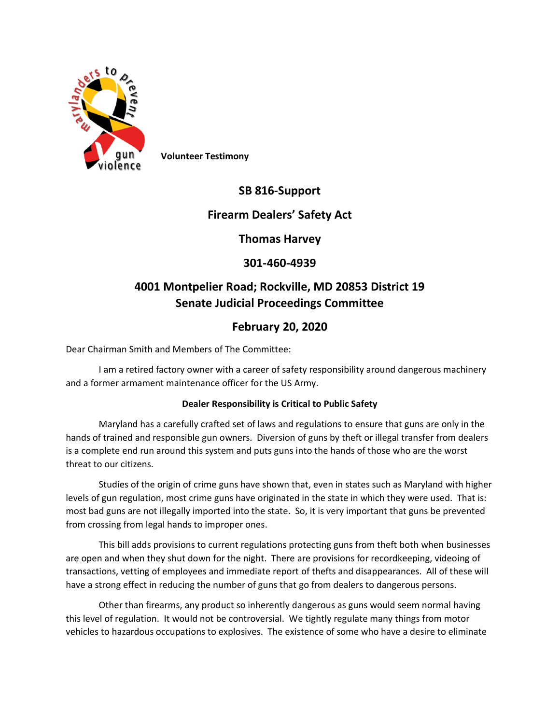

**Volunteer Testimony**

## **SB 816-Support**

## **Firearm Dealers' Safety Act**

**Thomas Harvey**

## **301-460-4939**

# **4001 Montpelier Road; Rockville, MD 20853 District 19 Senate Judicial Proceedings Committee**

## **February 20, 2020**

Dear Chairman Smith and Members of The Committee:

I am a retired factory owner with a career of safety responsibility around dangerous machinery and a former armament maintenance officer for the US Army.

### **Dealer Responsibility is Critical to Public Safety**

Maryland has a carefully crafted set of laws and regulations to ensure that guns are only in the hands of trained and responsible gun owners. Diversion of guns by theft or illegal transfer from dealers is a complete end run around this system and puts guns into the hands of those who are the worst threat to our citizens.

Studies of the origin of crime guns have shown that, even in states such as Maryland with higher levels of gun regulation, most crime guns have originated in the state in which they were used. That is: most bad guns are not illegally imported into the state. So, it is very important that guns be prevented from crossing from legal hands to improper ones.

This bill adds provisions to current regulations protecting guns from theft both when businesses are open and when they shut down for the night. There are provisions for recordkeeping, videoing of transactions, vetting of employees and immediate report of thefts and disappearances. All of these will have a strong effect in reducing the number of guns that go from dealers to dangerous persons.

Other than firearms, any product so inherently dangerous as guns would seem normal having this level of regulation. It would not be controversial. We tightly regulate many things from motor vehicles to hazardous occupations to explosives. The existence of some who have a desire to eliminate